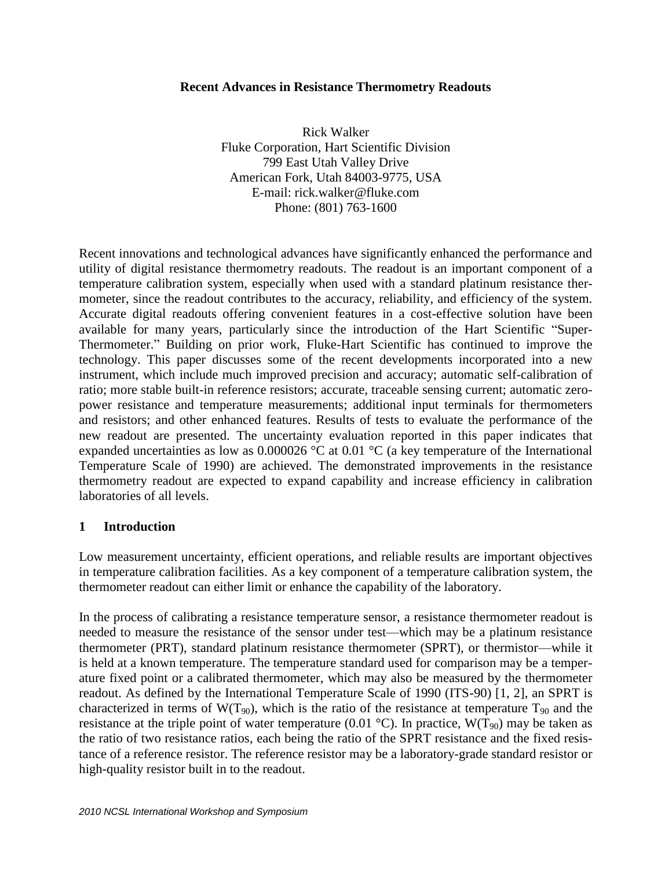### **Recent Advances in Resistance Thermometry Readouts**

Rick Walker Fluke Corporation, Hart Scientific Division 799 East Utah Valley Drive American Fork, Utah 84003-9775, USA E-mail: [rick.walker@fluke.com](mailto:rick.walker@fluke.com) Phone: (801) 763-1600

Recent innovations and technological advances have significantly enhanced the performance and utility of digital resistance thermometry readouts. The readout is an important component of a temperature calibration system, especially when used with a standard platinum resistance thermometer, since the readout contributes to the accuracy, reliability, and efficiency of the system. Accurate digital readouts offering convenient features in a cost-effective solution have been available for many years, particularly since the introduction of the Hart Scientific "Super-Thermometer." Building on prior work, Fluke-Hart Scientific has continued to improve the technology. This paper discusses some of the recent developments incorporated into a new instrument, which include much improved precision and accuracy; automatic self-calibration of ratio; more stable built-in reference resistors; accurate, traceable sensing current; automatic zeropower resistance and temperature measurements; additional input terminals for thermometers and resistors; and other enhanced features. Results of tests to evaluate the performance of the new readout are presented. The uncertainty evaluation reported in this paper indicates that expanded uncertainties as low as 0.000026 °C at 0.01 °C (a key temperature of the International Temperature Scale of 1990) are achieved. The demonstrated improvements in the resistance thermometry readout are expected to expand capability and increase efficiency in calibration laboratories of all levels.

### **1 Introduction**

Low measurement uncertainty, efficient operations, and reliable results are important objectives in temperature calibration facilities. As a key component of a temperature calibration system, the thermometer readout can either limit or enhance the capability of the laboratory.

In the process of calibrating a resistance temperature sensor, a resistance thermometer readout is needed to measure the resistance of the sensor under test—which may be a platinum resistance thermometer (PRT), standard platinum resistance thermometer (SPRT), or thermistor—while it is held at a known temperature. The temperature standard used for comparison may be a temperature fixed point or a calibrated thermometer, which may also be measured by the thermometer readout. As defined by the International Temperature Scale of 1990 (ITS-90) [1, 2], an SPRT is characterized in terms of  $W(T_{90})$ , which is the ratio of the resistance at temperature  $T_{90}$  and the resistance at the triple point of water temperature (0.01  $^{\circ}$ C). In practice, W(T<sub>90</sub>) may be taken as the ratio of two resistance ratios, each being the ratio of the SPRT resistance and the fixed resistance of a reference resistor. The reference resistor may be a laboratory-grade standard resistor or high-quality resistor built in to the readout.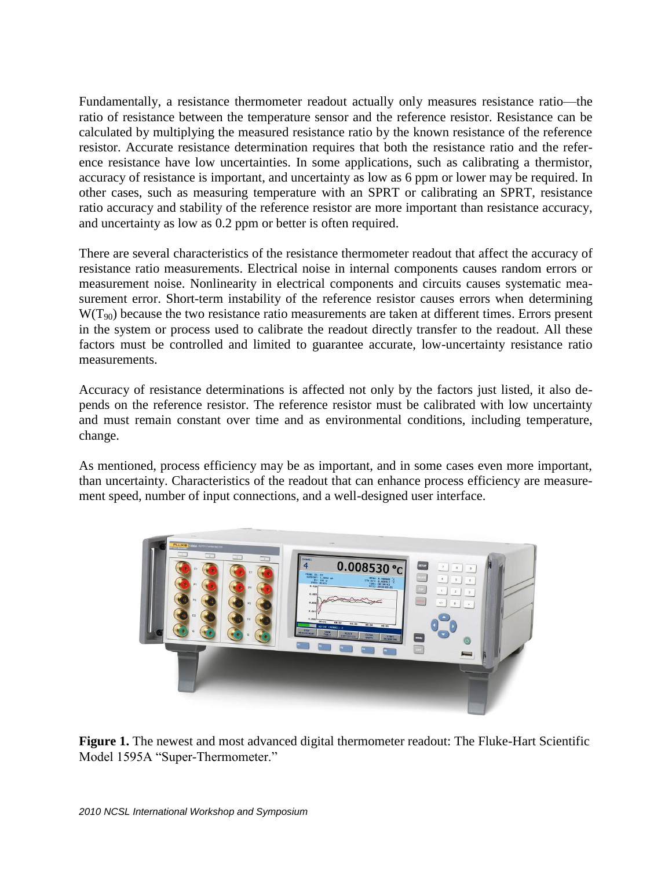Fundamentally, a resistance thermometer readout actually only measures resistance ratio—the ratio of resistance between the temperature sensor and the reference resistor. Resistance can be calculated by multiplying the measured resistance ratio by the known resistance of the reference resistor. Accurate resistance determination requires that both the resistance ratio and the reference resistance have low uncertainties. In some applications, such as calibrating a thermistor, accuracy of resistance is important, and uncertainty as low as 6 ppm or lower may be required. In other cases, such as measuring temperature with an SPRT or calibrating an SPRT, resistance ratio accuracy and stability of the reference resistor are more important than resistance accuracy, and uncertainty as low as 0.2 ppm or better is often required.

There are several characteristics of the resistance thermometer readout that affect the accuracy of resistance ratio measurements. Electrical noise in internal components causes random errors or measurement noise. Nonlinearity in electrical components and circuits causes systematic measurement error. Short-term instability of the reference resistor causes errors when determining  $W(T_{90})$  because the two resistance ratio measurements are taken at different times. Errors present in the system or process used to calibrate the readout directly transfer to the readout. All these factors must be controlled and limited to guarantee accurate, low-uncertainty resistance ratio measurements.

Accuracy of resistance determinations is affected not only by the factors just listed, it also depends on the reference resistor. The reference resistor must be calibrated with low uncertainty and must remain constant over time and as environmental conditions, including temperature, change.

As mentioned, process efficiency may be as important, and in some cases even more important, than uncertainty. Characteristics of the readout that can enhance process efficiency are measurement speed, number of input connections, and a well-designed user interface.



**Figure 1.** The newest and most advanced digital thermometer readout: The Fluke-Hart Scientific Model 1595A "Super-Thermometer."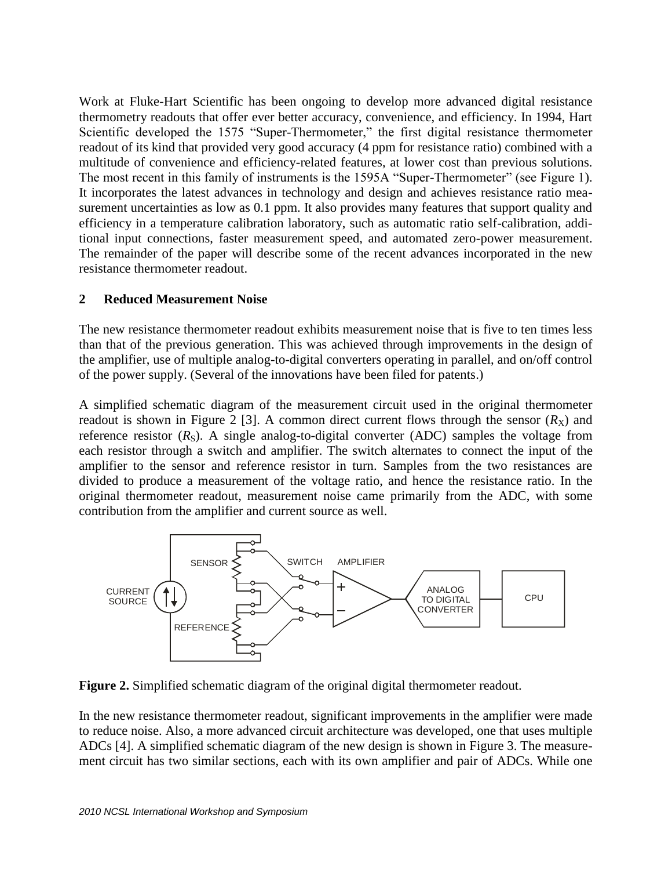Work at Fluke-Hart Scientific has been ongoing to develop more advanced digital resistance thermometry readouts that offer ever better accuracy, convenience, and efficiency. In 1994, Hart Scientific developed the 1575 "Super-Thermometer," the first digital resistance thermometer readout of its kind that provided very good accuracy (4 ppm for resistance ratio) combined with a multitude of convenience and efficiency-related features, at lower cost than previous solutions. The most recent in this family of instruments is the 1595A "Super-Thermometer" (see Figure 1). It incorporates the latest advances in technology and design and achieves resistance ratio measurement uncertainties as low as 0.1 ppm. It also provides many features that support quality and efficiency in a temperature calibration laboratory, such as automatic ratio self-calibration, additional input connections, faster measurement speed, and automated zero-power measurement. The remainder of the paper will describe some of the recent advances incorporated in the new resistance thermometer readout.

### **2 Reduced Measurement Noise**

The new resistance thermometer readout exhibits measurement noise that is five to ten times less than that of the previous generation. This was achieved through improvements in the design of the amplifier, use of multiple analog-to-digital converters operating in parallel, and on/off control of the power supply. (Several of the innovations have been filed for patents.)

A simplified schematic diagram of the measurement circuit used in the original thermometer readout is shown in Figure 2 [3]. A common direct current flows through the sensor  $(R_X)$  and reference resistor  $(R<sub>S</sub>)$ . A single analog-to-digital converter  $(ADC)$  samples the voltage from each resistor through a switch and amplifier. The switch alternates to connect the input of the amplifier to the sensor and reference resistor in turn. Samples from the two resistances are divided to produce a measurement of the voltage ratio, and hence the resistance ratio. In the original thermometer readout, measurement noise came primarily from the ADC, with some contribution from the amplifier and current source as well.



**Figure 2.** Simplified schematic diagram of the original digital thermometer readout.

In the new resistance thermometer readout, significant improvements in the amplifier were made to reduce noise. Also, a more advanced circuit architecture was developed, one that uses multiple ADCs [4]. A simplified schematic diagram of the new design is shown in Figure 3. The measurement circuit has two similar sections, each with its own amplifier and pair of ADCs. While one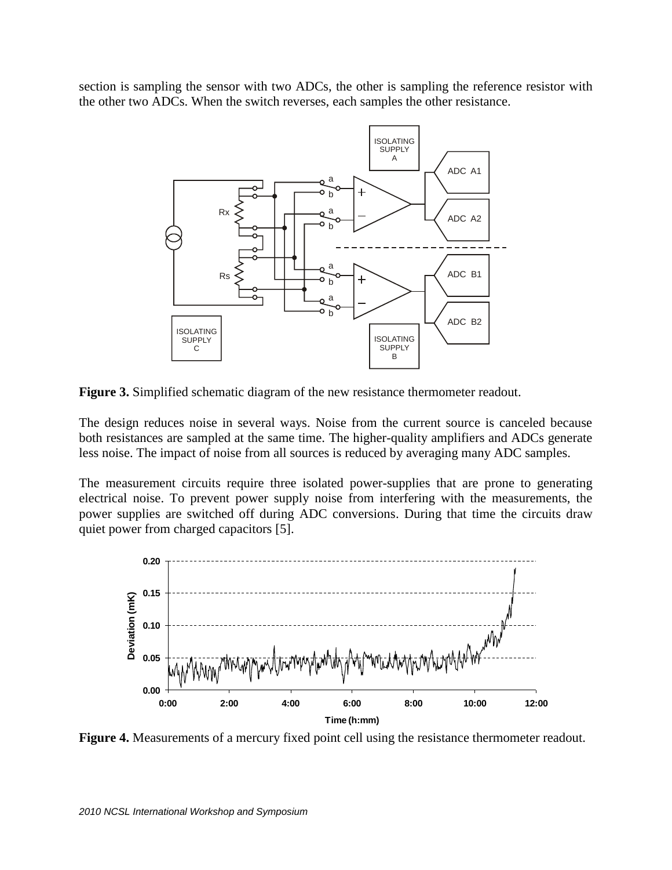section is sampling the sensor with two ADCs, the other is sampling the reference resistor with the other two ADCs. When the switch reverses, each samples the other resistance.



**Figure 3.** Simplified schematic diagram of the new resistance thermometer readout.

The design reduces noise in several ways. Noise from the current source is canceled because both resistances are sampled at the same time. The higher-quality amplifiers and ADCs generate less noise. The impact of noise from all sources is reduced by averaging many ADC samples.

The measurement circuits require three isolated power-supplies that are prone to generating electrical noise. To prevent power supply noise from interfering with the measurements, the power supplies are switched off during ADC conversions. During that time the circuits draw quiet power from charged capacitors [5].



**Figure 4.** Measurements of a mercury fixed point cell using the resistance thermometer readout.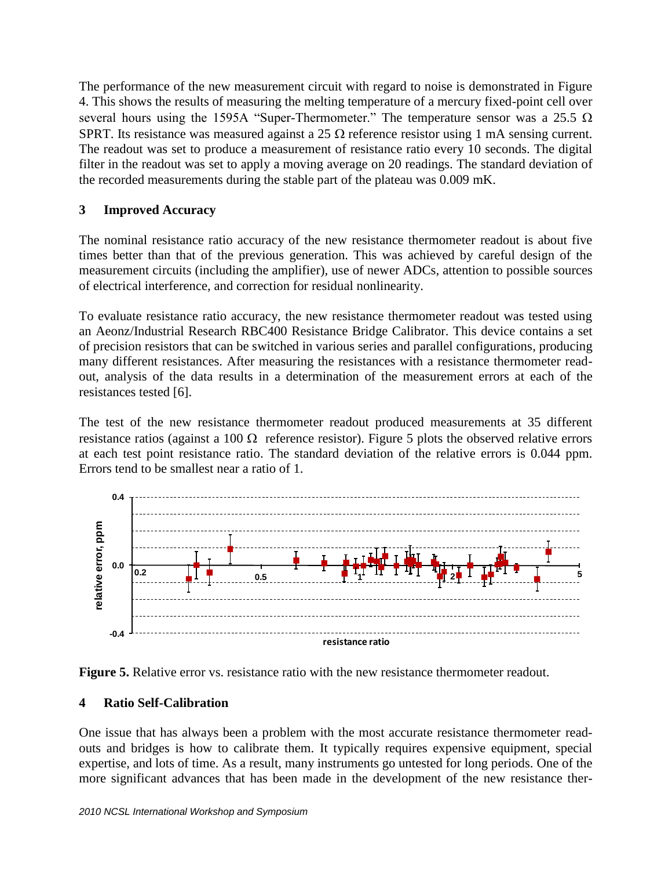The performance of the new measurement circuit with regard to noise is demonstrated in Figure 4. This shows the results of measuring the melting temperature of a mercury fixed-point cell over several hours using the 1595A "Super-Thermometer." The temperature sensor was a 25.5  $\Omega$ SPRT. Its resistance was measured against a 25  $\Omega$  reference resistor using 1 mA sensing current. The readout was set to produce a measurement of resistance ratio every 10 seconds. The digital filter in the readout was set to apply a moving average on 20 readings. The standard deviation of the recorded measurements during the stable part of the plateau was 0.009 mK.

## **3 Improved Accuracy**

The nominal resistance ratio accuracy of the new resistance thermometer readout is about five times better than that of the previous generation. This was achieved by careful design of the measurement circuits (including the amplifier), use of newer ADCs, attention to possible sources of electrical interference, and correction for residual nonlinearity.

To evaluate resistance ratio accuracy, the new resistance thermometer readout was tested using an Aeonz/Industrial Research RBC400 Resistance Bridge Calibrator. This device contains a set of precision resistors that can be switched in various series and parallel configurations, producing many different resistances. After measuring the resistances with a resistance thermometer readout, analysis of the data results in a determination of the measurement errors at each of the resistances tested [6].

The test of the new resistance thermometer readout produced measurements at 35 different resistance ratios (against a 100  $\Omega$  reference resistor). Figure 5 plots the observed relative errors at each test point resistance ratio. The standard deviation of the relative errors is 0.044 ppm. Errors tend to be smallest near a ratio of 1.





### **4 Ratio Self-Calibration**

One issue that has always been a problem with the most accurate resistance thermometer readouts and bridges is how to calibrate them. It typically requires expensive equipment, special expertise, and lots of time. As a result, many instruments go untested for long periods. One of the more significant advances that has been made in the development of the new resistance ther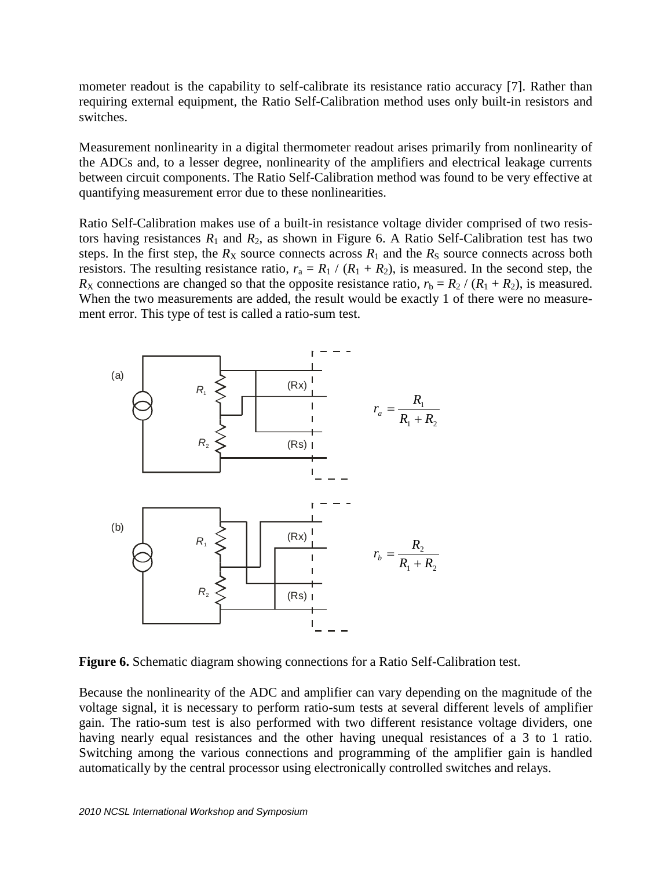mometer readout is the capability to self-calibrate its resistance ratio accuracy [7]. Rather than requiring external equipment, the Ratio Self-Calibration method uses only built-in resistors and switches.

Measurement nonlinearity in a digital thermometer readout arises primarily from nonlinearity of the ADCs and, to a lesser degree, nonlinearity of the amplifiers and electrical leakage currents between circuit components. The Ratio Self-Calibration method was found to be very effective at quantifying measurement error due to these nonlinearities.

Ratio Self-Calibration makes use of a built-in resistance voltage divider comprised of two resistors having resistances  $R_1$  and  $R_2$ , as shown in Figure 6. A Ratio Self-Calibration test has two steps. In the first step, the  $R_X$  source connects across  $R_1$  and the  $R_S$  source connects across both resistors. The resulting resistance ratio,  $r_a = R_1 / (R_1 + R_2)$ , is measured. In the second step, the  $R_X$  connections are changed so that the opposite resistance ratio,  $r_b = R_2 / (R_1 + R_2)$ , is measured. When the two measurements are added, the result would be exactly 1 of there were no measurement error. This type of test is called a ratio-sum test.



**Figure 6.** Schematic diagram showing connections for a Ratio Self-Calibration test.

Because the nonlinearity of the ADC and amplifier can vary depending on the magnitude of the voltage signal, it is necessary to perform ratio-sum tests at several different levels of amplifier gain. The ratio-sum test is also performed with two different resistance voltage dividers, one having nearly equal resistances and the other having unequal resistances of a 3 to 1 ratio. Switching among the various connections and programming of the amplifier gain is handled automatically by the central processor using electronically controlled switches and relays.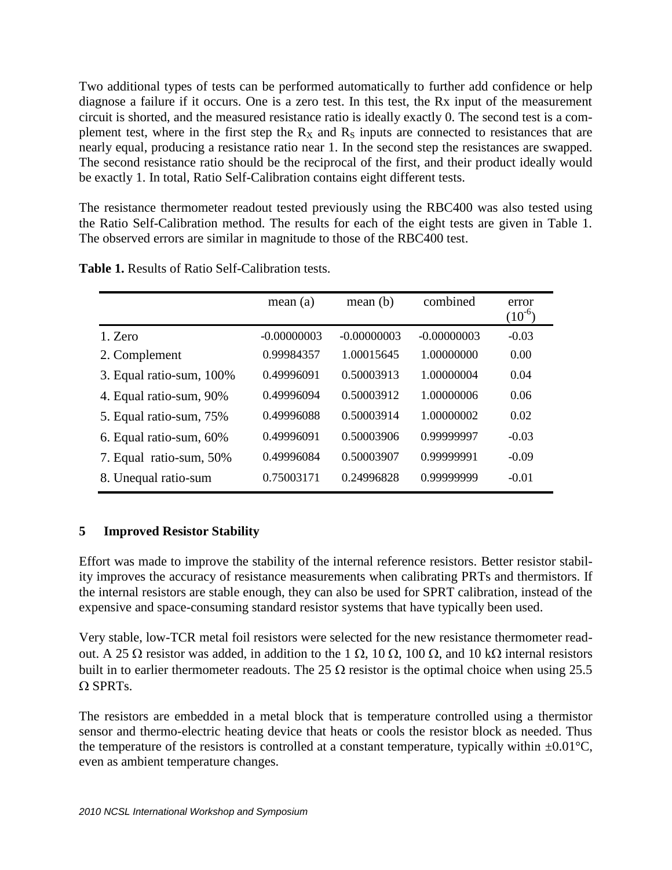Two additional types of tests can be performed automatically to further add confidence or help diagnose a failure if it occurs. One is a zero test. In this test, the Rx input of the measurement circuit is shorted, and the measured resistance ratio is ideally exactly 0. The second test is a complement test, where in the first step the  $R_X$  and  $R_S$  inputs are connected to resistances that are nearly equal, producing a resistance ratio near 1. In the second step the resistances are swapped. The second resistance ratio should be the reciprocal of the first, and their product ideally would be exactly 1. In total, Ratio Self-Calibration contains eight different tests.

The resistance thermometer readout tested previously using the RBC400 was also tested using the Ratio Self-Calibration method. The results for each of the eight tests are given in Table 1. The observed errors are similar in magnitude to those of the RBC400 test.

|                          | mean(a)       | mean(b)       | combined      | error<br>$(10^{-6})$ |
|--------------------------|---------------|---------------|---------------|----------------------|
| 1. Zero                  | $-0.00000003$ | $-0.00000003$ | $-0.00000003$ | $-0.03$              |
| 2. Complement            | 0.99984357    | 1.00015645    | 1.00000000    | 0.00                 |
| 3. Equal ratio-sum, 100% | 0.49996091    | 0.50003913    | 1.00000004    | 0.04                 |
| 4. Equal ratio-sum, 90%  | 0.49996094    | 0.50003912    | 1.00000006    | 0.06                 |
| 5. Equal ratio-sum, 75%  | 0.49996088    | 0.50003914    | 1.00000002    | 0.02                 |
| 6. Equal ratio-sum, 60%  | 0.49996091    | 0.50003906    | 0.99999997    | $-0.03$              |
| 7. Equal ratio-sum, 50%  | 0.49996084    | 0.50003907    | 0.99999991    | $-0.09$              |
| 8. Unequal ratio-sum     | 0.75003171    | 0.24996828    | 0.99999999    | $-0.01$              |

**Table 1.** Results of Ratio Self-Calibration tests.

# **5 Improved Resistor Stability**

Effort was made to improve the stability of the internal reference resistors. Better resistor stability improves the accuracy of resistance measurements when calibrating PRTs and thermistors. If the internal resistors are stable enough, they can also be used for SPRT calibration, instead of the expensive and space-consuming standard resistor systems that have typically been used.

Very stable, low-TCR metal foil resistors were selected for the new resistance thermometer readout. A 25  $\Omega$  resistor was added, in addition to the 1  $\Omega$ , 10  $\Omega$ , 100  $\Omega$ , and 10 k $\Omega$  internal resistors built in to earlier thermometer readouts. The 25  $\Omega$  resistor is the optimal choice when using 25.5  $\Omega$  SPRTs.

The resistors are embedded in a metal block that is temperature controlled using a thermistor sensor and thermo-electric heating device that heats or cools the resistor block as needed. Thus the temperature of the resistors is controlled at a constant temperature, typically within  $\pm 0.01^{\circ}$ C, even as ambient temperature changes.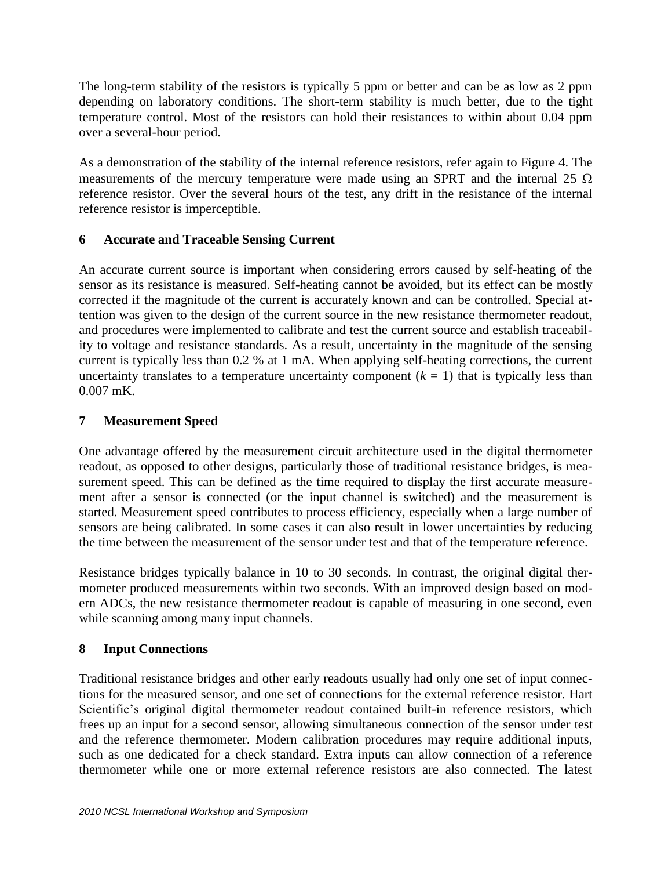The long-term stability of the resistors is typically 5 ppm or better and can be as low as 2 ppm depending on laboratory conditions. The short-term stability is much better, due to the tight temperature control. Most of the resistors can hold their resistances to within about 0.04 ppm over a several-hour period.

As a demonstration of the stability of the internal reference resistors, refer again to Figure 4. The measurements of the mercury temperature were made using an SPRT and the internal 25  $\Omega$ reference resistor. Over the several hours of the test, any drift in the resistance of the internal reference resistor is imperceptible.

## **6 Accurate and Traceable Sensing Current**

An accurate current source is important when considering errors caused by self-heating of the sensor as its resistance is measured. Self-heating cannot be avoided, but its effect can be mostly corrected if the magnitude of the current is accurately known and can be controlled. Special attention was given to the design of the current source in the new resistance thermometer readout, and procedures were implemented to calibrate and test the current source and establish traceability to voltage and resistance standards. As a result, uncertainty in the magnitude of the sensing current is typically less than 0.2 % at 1 mA. When applying self-heating corrections, the current uncertainty translates to a temperature uncertainty component  $(k = 1)$  that is typically less than 0.007 mK.

## **7 Measurement Speed**

One advantage offered by the measurement circuit architecture used in the digital thermometer readout, as opposed to other designs, particularly those of traditional resistance bridges, is measurement speed. This can be defined as the time required to display the first accurate measurement after a sensor is connected (or the input channel is switched) and the measurement is started. Measurement speed contributes to process efficiency, especially when a large number of sensors are being calibrated. In some cases it can also result in lower uncertainties by reducing the time between the measurement of the sensor under test and that of the temperature reference.

Resistance bridges typically balance in 10 to 30 seconds. In contrast, the original digital thermometer produced measurements within two seconds. With an improved design based on modern ADCs, the new resistance thermometer readout is capable of measuring in one second, even while scanning among many input channels.

# **8 Input Connections**

Traditional resistance bridges and other early readouts usually had only one set of input connections for the measured sensor, and one set of connections for the external reference resistor. Hart Scientific's original digital thermometer readout contained built-in reference resistors, which frees up an input for a second sensor, allowing simultaneous connection of the sensor under test and the reference thermometer. Modern calibration procedures may require additional inputs, such as one dedicated for a check standard. Extra inputs can allow connection of a reference thermometer while one or more external reference resistors are also connected. The latest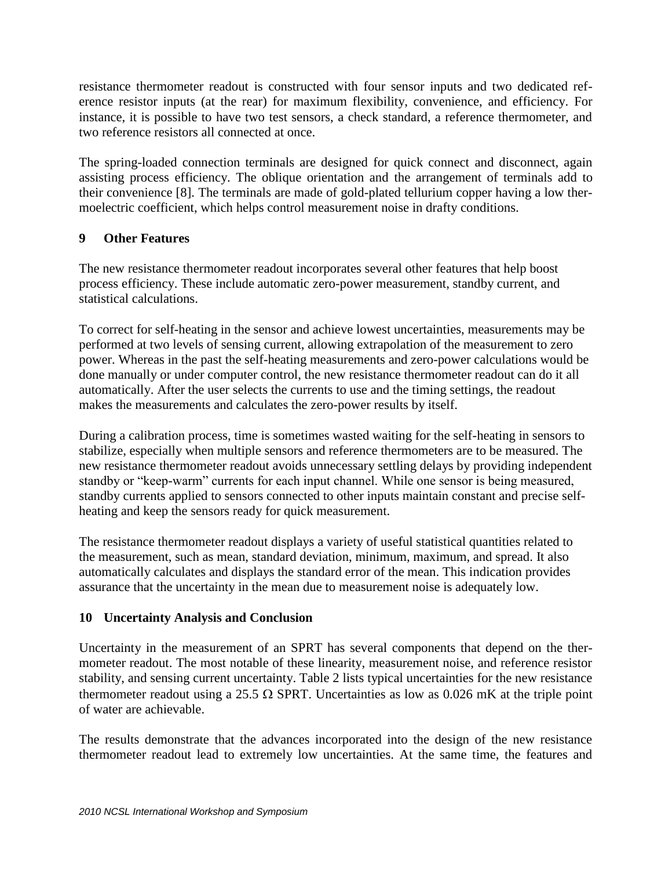resistance thermometer readout is constructed with four sensor inputs and two dedicated reference resistor inputs (at the rear) for maximum flexibility, convenience, and efficiency. For instance, it is possible to have two test sensors, a check standard, a reference thermometer, and two reference resistors all connected at once.

The spring-loaded connection terminals are designed for quick connect and disconnect, again assisting process efficiency. The oblique orientation and the arrangement of terminals add to their convenience [8]. The terminals are made of gold-plated tellurium copper having a low thermoelectric coefficient, which helps control measurement noise in drafty conditions.

# **9 Other Features**

The new resistance thermometer readout incorporates several other features that help boost process efficiency. These include automatic zero-power measurement, standby current, and statistical calculations.

To correct for self-heating in the sensor and achieve lowest uncertainties, measurements may be performed at two levels of sensing current, allowing extrapolation of the measurement to zero power. Whereas in the past the self-heating measurements and zero-power calculations would be done manually or under computer control, the new resistance thermometer readout can do it all automatically. After the user selects the currents to use and the timing settings, the readout makes the measurements and calculates the zero-power results by itself.

During a calibration process, time is sometimes wasted waiting for the self-heating in sensors to stabilize, especially when multiple sensors and reference thermometers are to be measured. The new resistance thermometer readout avoids unnecessary settling delays by providing independent standby or "keep-warm" currents for each input channel. While one sensor is being measured, standby currents applied to sensors connected to other inputs maintain constant and precise selfheating and keep the sensors ready for quick measurement.

The resistance thermometer readout displays a variety of useful statistical quantities related to the measurement, such as mean, standard deviation, minimum, maximum, and spread. It also automatically calculates and displays the standard error of the mean. This indication provides assurance that the uncertainty in the mean due to measurement noise is adequately low.

### **10 Uncertainty Analysis and Conclusion**

Uncertainty in the measurement of an SPRT has several components that depend on the thermometer readout. The most notable of these linearity, measurement noise, and reference resistor stability, and sensing current uncertainty. Table 2 lists typical uncertainties for the new resistance thermometer readout using a 25.5  $\Omega$  SPRT. Uncertainties as low as 0.026 mK at the triple point of water are achievable.

The results demonstrate that the advances incorporated into the design of the new resistance thermometer readout lead to extremely low uncertainties. At the same time, the features and